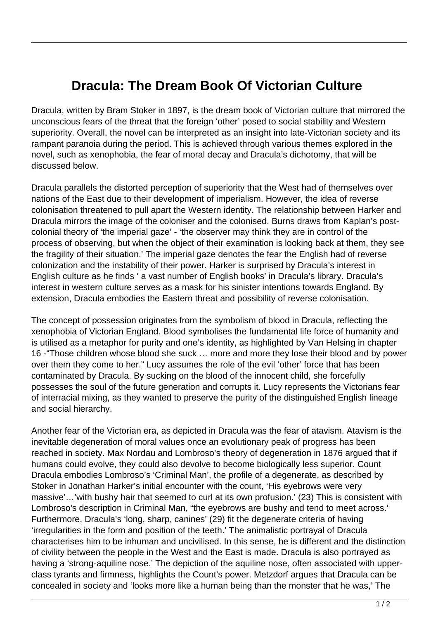## **Dracula: The Dream Book Of Victorian Culture**

Dracula, written by Bram Stoker in 1897, is the dream book of Victorian culture that mirrored the unconscious fears of the threat that the foreign 'other' posed to social stability and Western superiority. Overall, the novel can be interpreted as an insight into late-Victorian society and its rampant paranoia during the period. This is achieved through various themes explored in the novel, such as xenophobia, the fear of moral decay and Dracula's dichotomy, that will be discussed below.

Dracula parallels the distorted perception of superiority that the West had of themselves over nations of the East due to their development of imperialism. However, the idea of reverse colonisation threatened to pull apart the Western identity. The relationship between Harker and Dracula mirrors the image of the coloniser and the colonised. Burns draws from Kaplan's postcolonial theory of 'the imperial gaze' - 'the observer may think they are in control of the process of observing, but when the object of their examination is looking back at them, they see the fragility of their situation.' The imperial gaze denotes the fear the English had of reverse colonization and the instability of their power. Harker is surprised by Dracula's interest in English culture as he finds ' a vast number of English books' in Dracula's library. Dracula's interest in western culture serves as a mask for his sinister intentions towards England. By extension, Dracula embodies the Eastern threat and possibility of reverse colonisation.

The concept of possession originates from the symbolism of blood in Dracula, reflecting the xenophobia of Victorian England. Blood symbolises the fundamental life force of humanity and is utilised as a metaphor for purity and one's identity, as highlighted by Van Helsing in chapter 16 -"Those children whose blood she suck … more and more they lose their blood and by power over them they come to her." Lucy assumes the role of the evil 'other' force that has been contaminated by Dracula. By sucking on the blood of the innocent child, she forcefully possesses the soul of the future generation and corrupts it. Lucy represents the Victorians fear of interracial mixing, as they wanted to preserve the purity of the distinguished English lineage and social hierarchy.

Another fear of the Victorian era, as depicted in Dracula was the fear of atavism. Atavism is the inevitable degeneration of moral values once an evolutionary peak of progress has been reached in society. Max Nordau and Lombroso's theory of degeneration in 1876 argued that if humans could evolve, they could also devolve to become biologically less superior. Count Dracula embodies Lombroso's 'Criminal Man', the profile of a degenerate, as described by Stoker in Jonathan Harker's initial encounter with the count, 'His eyebrows were very massive'…'with bushy hair that seemed to curl at its own profusion.' (23) This is consistent with Lombroso's description in Criminal Man, "the eyebrows are bushy and tend to meet across.' Furthermore, Dracula's 'long, sharp, canines' (29) fit the degenerate criteria of having 'irregularities in the form and position of the teeth.' The animalistic portrayal of Dracula characterises him to be inhuman and uncivilised. In this sense, he is different and the distinction of civility between the people in the West and the East is made. Dracula is also portrayed as having a 'strong-aquiline nose.' The depiction of the aquiline nose, often associated with upperclass tyrants and firmness, highlights the Count's power. Metzdorf argues that Dracula can be concealed in society and 'looks more like a human being than the monster that he was,' The